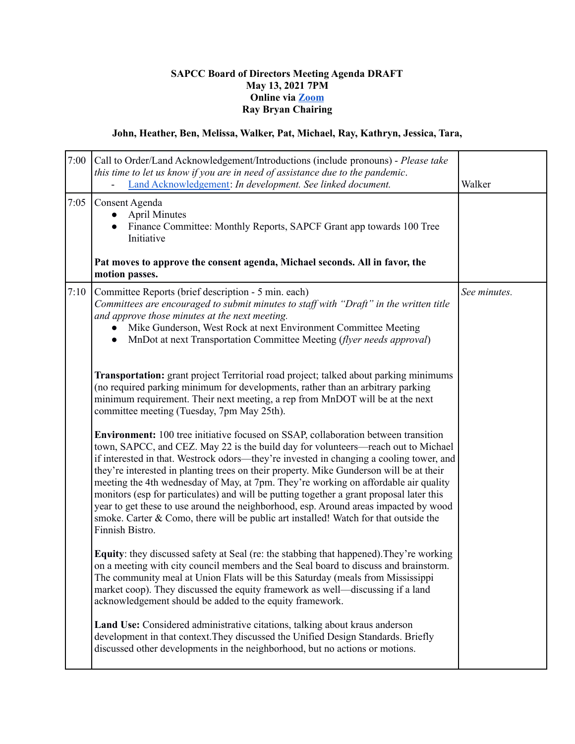## **SAPCC Board of Directors Meeting Agenda DRAFT May 13, 2021 7PM Online via [Zoom](https://zoom.us/j/94313936880?pwd=MVVwU2xGTkJGVE1YM1g2Z2Z5UGhHdz09) Ray Bryan Chairing**

## **John, Heather, Ben, Melissa, Walker, Pat, Michael, Ray, Kathryn, Jessica, Tara,**

| 7:00 | Call to Order/Land Acknowledgement/Introductions (include pronouns) - Please take<br>this time to let us know if you are in need of assistance due to the pandemic.<br>Land Acknowledgement: In development. See linked document.                                                                                                                                                                                                                                                                                                                                                                                                                                                                                                                          | Walker       |
|------|------------------------------------------------------------------------------------------------------------------------------------------------------------------------------------------------------------------------------------------------------------------------------------------------------------------------------------------------------------------------------------------------------------------------------------------------------------------------------------------------------------------------------------------------------------------------------------------------------------------------------------------------------------------------------------------------------------------------------------------------------------|--------------|
| 7:05 | Consent Agenda<br><b>April Minutes</b><br>Finance Committee: Monthly Reports, SAPCF Grant app towards 100 Tree<br>Initiative                                                                                                                                                                                                                                                                                                                                                                                                                                                                                                                                                                                                                               |              |
|      | Pat moves to approve the consent agenda, Michael seconds. All in favor, the<br>motion passes.                                                                                                                                                                                                                                                                                                                                                                                                                                                                                                                                                                                                                                                              |              |
| 7:10 | Committee Reports (brief description - 5 min. each)<br>Committees are encouraged to submit minutes to staff with "Draft" in the written title<br>and approve those minutes at the next meeting.<br>Mike Gunderson, West Rock at next Environment Committee Meeting<br>MnDot at next Transportation Committee Meeting (flyer needs approval)                                                                                                                                                                                                                                                                                                                                                                                                                | See minutes. |
|      | Transportation: grant project Territorial road project; talked about parking minimums<br>(no required parking minimum for developments, rather than an arbitrary parking<br>minimum requirement. Their next meeting, a rep from MnDOT will be at the next<br>committee meeting (Tuesday, 7pm May 25th).                                                                                                                                                                                                                                                                                                                                                                                                                                                    |              |
|      | <b>Environment:</b> 100 tree initiative focused on SSAP, collaboration between transition<br>town, SAPCC, and CEZ. May 22 is the build day for volunteers—reach out to Michael<br>if interested in that. Westrock odors—they're invested in changing a cooling tower, and<br>they're interested in planting trees on their property. Mike Gunderson will be at their<br>meeting the 4th wednesday of May, at 7pm. They're working on affordable air quality<br>monitors (esp for particulates) and will be putting together a grant proposal later this<br>year to get these to use around the neighborhood, esp. Around areas impacted by wood<br>smoke. Carter & Como, there will be public art installed! Watch for that outside the<br>Finnish Bistro. |              |
|      | Equity: they discussed safety at Seal (re: the stabbing that happened). They're working<br>on a meeting with city council members and the Seal board to discuss and brainstorm.<br>The community meal at Union Flats will be this Saturday (meals from Mississippi<br>market coop). They discussed the equity framework as well—discussing if a land<br>acknowledgement should be added to the equity framework.                                                                                                                                                                                                                                                                                                                                           |              |
|      | Land Use: Considered administrative citations, talking about kraus anderson<br>development in that context. They discussed the Unified Design Standards. Briefly<br>discussed other developments in the neighborhood, but no actions or motions.                                                                                                                                                                                                                                                                                                                                                                                                                                                                                                           |              |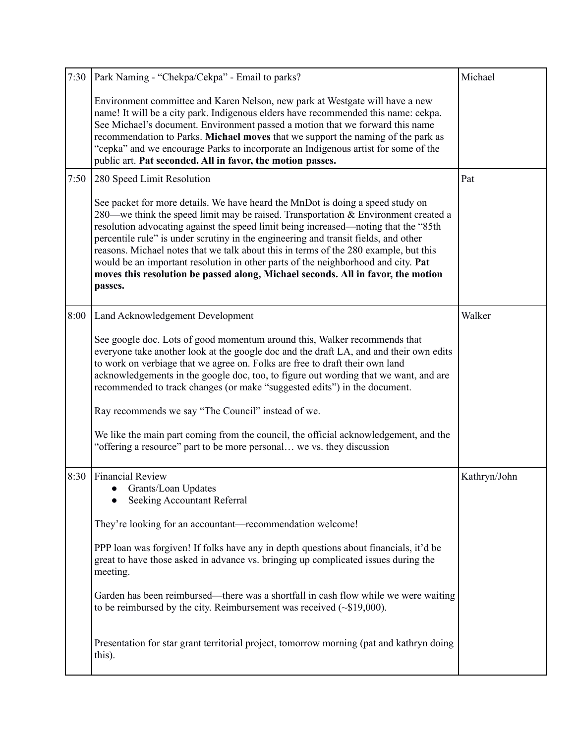| 7:30 | Park Naming - "Chekpa/Cekpa" - Email to parks?                                                                                                                                                                                                                                                                                                                                                                                                                                                                                                                                                                                 | Michael      |
|------|--------------------------------------------------------------------------------------------------------------------------------------------------------------------------------------------------------------------------------------------------------------------------------------------------------------------------------------------------------------------------------------------------------------------------------------------------------------------------------------------------------------------------------------------------------------------------------------------------------------------------------|--------------|
|      | Environment committee and Karen Nelson, new park at Westgate will have a new<br>name! It will be a city park. Indigenous elders have recommended this name: cekpa.<br>See Michael's document. Environment passed a motion that we forward this name<br>recommendation to Parks. Michael moves that we support the naming of the park as<br>"cepka" and we encourage Parks to incorporate an Indigenous artist for some of the<br>public art. Pat seconded. All in favor, the motion passes.                                                                                                                                    |              |
| 7:50 | 280 Speed Limit Resolution                                                                                                                                                                                                                                                                                                                                                                                                                                                                                                                                                                                                     | Pat          |
|      | See packet for more details. We have heard the MnDot is doing a speed study on<br>280—we think the speed limit may be raised. Transportation & Environment created a<br>resolution advocating against the speed limit being increased—noting that the "85th<br>percentile rule" is under scrutiny in the engineering and transit fields, and other<br>reasons. Michael notes that we talk about this in terms of the 280 example, but this<br>would be an important resolution in other parts of the neighborhood and city. Pat<br>moves this resolution be passed along, Michael seconds. All in favor, the motion<br>passes. |              |
| 8:00 | Land Acknowledgement Development                                                                                                                                                                                                                                                                                                                                                                                                                                                                                                                                                                                               | Walker       |
|      | See google doc. Lots of good momentum around this, Walker recommends that<br>everyone take another look at the google doc and the draft LA, and and their own edits<br>to work on verbiage that we agree on. Folks are free to draft their own land<br>acknowledgements in the google doc, too, to figure out wording that we want, and are<br>recommended to track changes (or make "suggested edits") in the document.                                                                                                                                                                                                       |              |
|      | Ray recommends we say "The Council" instead of we.                                                                                                                                                                                                                                                                                                                                                                                                                                                                                                                                                                             |              |
|      | We like the main part coming from the council, the official acknowledgement, and the<br>"offering a resource" part to be more personal we vs. they discussion                                                                                                                                                                                                                                                                                                                                                                                                                                                                  |              |
| 8:30 | <b>Financial Review</b><br>Grants/Loan Updates<br>Seeking Accountant Referral                                                                                                                                                                                                                                                                                                                                                                                                                                                                                                                                                  | Kathryn/John |
|      | They're looking for an accountant—recommendation welcome!                                                                                                                                                                                                                                                                                                                                                                                                                                                                                                                                                                      |              |
|      | PPP loan was forgiven! If folks have any in depth questions about financials, it'd be<br>great to have those asked in advance vs. bringing up complicated issues during the<br>meeting.                                                                                                                                                                                                                                                                                                                                                                                                                                        |              |
|      | Garden has been reimbursed—there was a shortfall in cash flow while we were waiting<br>to be reimbursed by the city. Reimbursement was received $(\sim $19,000)$ .                                                                                                                                                                                                                                                                                                                                                                                                                                                             |              |
|      | Presentation for star grant territorial project, tomorrow morning (pat and kathryn doing<br>this).                                                                                                                                                                                                                                                                                                                                                                                                                                                                                                                             |              |